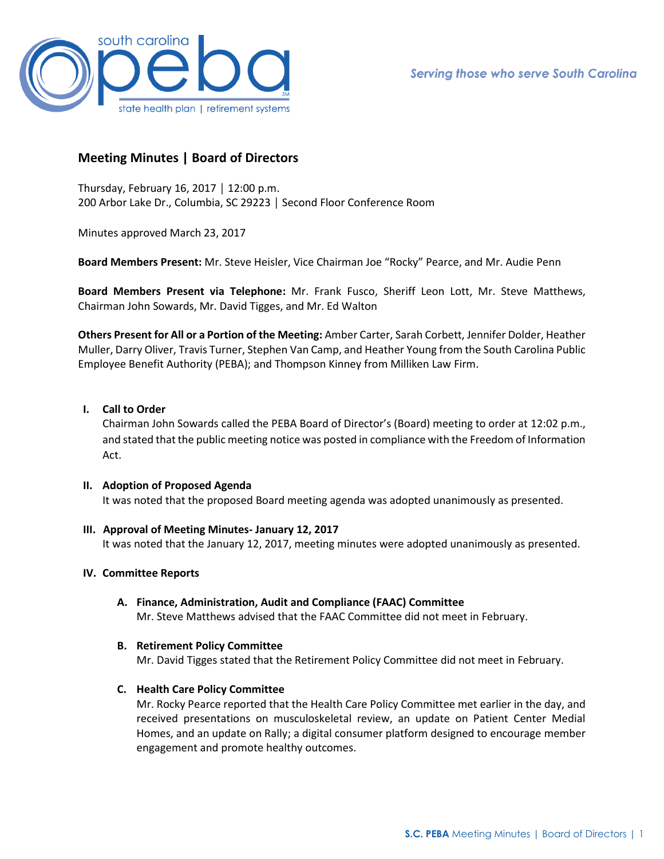

# **Meeting Minutes | Board of Directors**

Thursday, February 16, 2017 │ 12:00 p.m. 200 Arbor Lake Dr., Columbia, SC 29223 │ Second Floor Conference Room

Minutes approved March 23, 2017

**Board Members Present:** Mr. Steve Heisler, Vice Chairman Joe "Rocky" Pearce, and Mr. Audie Penn

**Board Members Present via Telephone:** Mr. Frank Fusco, Sheriff Leon Lott, Mr. Steve Matthews, Chairman John Sowards, Mr. David Tigges, and Mr. Ed Walton

**Others Present for All or a Portion of the Meeting:** Amber Carter, Sarah Corbett, Jennifer Dolder, Heather Muller, Darry Oliver, Travis Turner, Stephen Van Camp, and Heather Young from the South Carolina Public Employee Benefit Authority (PEBA); and Thompson Kinney from Milliken Law Firm.

# **I. Call to Order**

Chairman John Sowards called the PEBA Board of Director's (Board) meeting to order at 12:02 p.m., and stated that the public meeting notice was posted in compliance with the Freedom of Information Act.

### **II. Adoption of Proposed Agenda**

It was noted that the proposed Board meeting agenda was adopted unanimously as presented.

### **III. Approval of Meeting Minutes- January 12, 2017**

It was noted that the January 12, 2017, meeting minutes were adopted unanimously as presented.

## **IV. Committee Reports**

**A. Finance, Administration, Audit and Compliance (FAAC) Committee** Mr. Steve Matthews advised that the FAAC Committee did not meet in February.

#### **B. Retirement Policy Committee**

Mr. David Tigges stated that the Retirement Policy Committee did not meet in February.

### **C. Health Care Policy Committee**

Mr. Rocky Pearce reported that the Health Care Policy Committee met earlier in the day, and received presentations on musculoskeletal review, an update on Patient Center Medial Homes, and an update on Rally; a digital consumer platform designed to encourage member engagement and promote healthy outcomes.